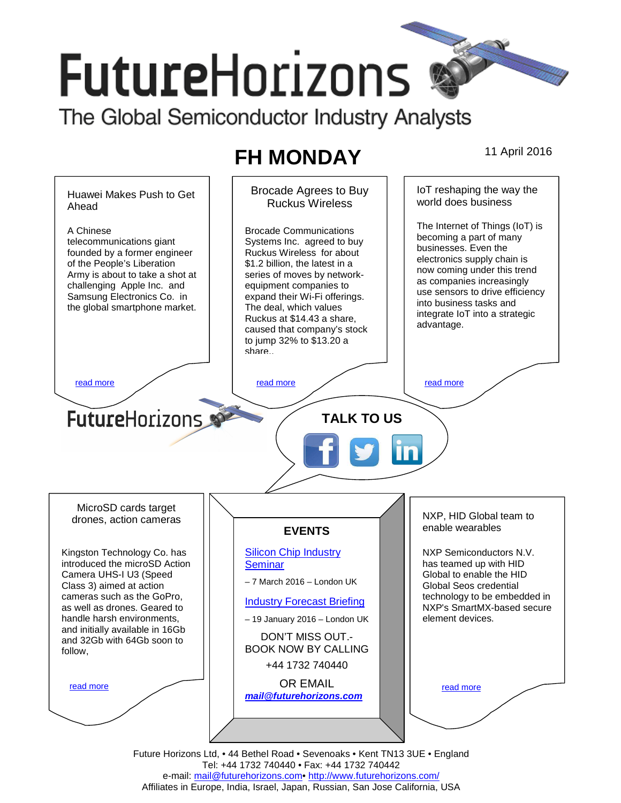# **FutureHorizons**

The Global Semiconductor Industry Analysts

## **FH MONDAY** 11 April 2016



Future Horizons Ltd, • 44 Bethel Road • Sevenoaks • Kent TN13 3UE • England Tel: +44 1732 740440 • Fax: +44 1732 740442 e-mail: mail@futurehorizons.com• http://www.futurehorizons.com/ Affiliates in Europe, India, Israel, Japan, Russian, San Jose California, USA